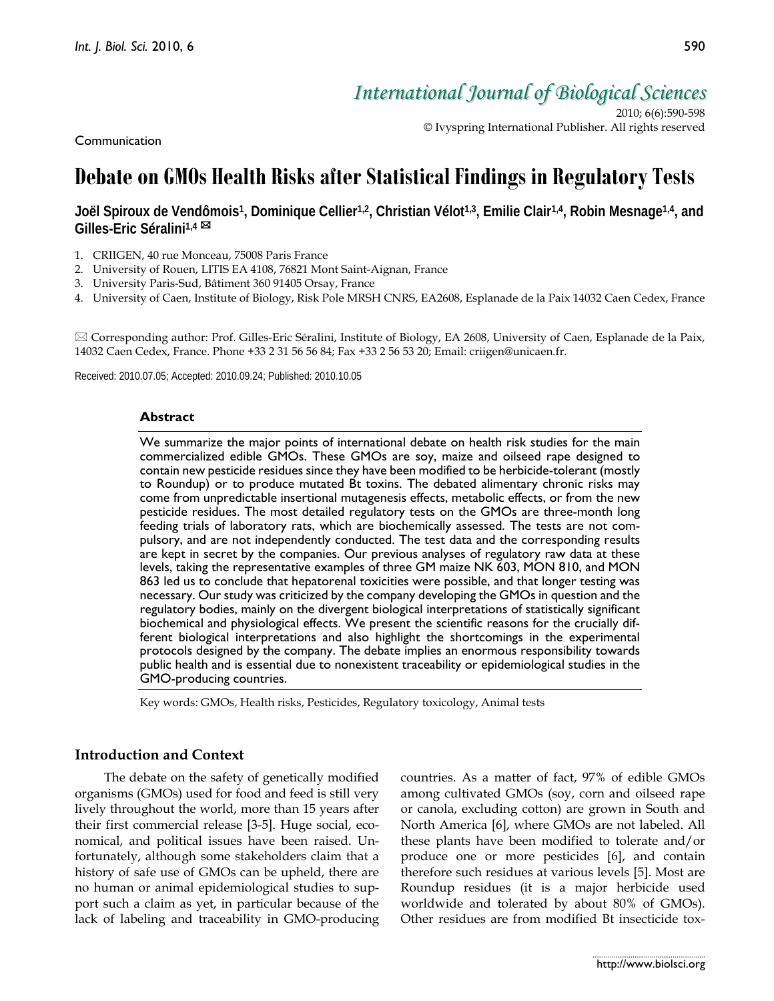Communication

*International Journal of Biological Sciences*

2010; 6(6):590-598 © Ivyspring International Publisher. All rights reserved

# **Debate on GMOs Health Risks after Statistical Findings in Regulatory Tests**

**Joël Spiroux de Vendômois1, Dominique Cellier1,2, Christian Vélot1,3, Emilie Clair1,4, Robin Mesnage1,4, and Gilles-Eric Séralini1,4**

- 1. CRIIGEN, 40 rue Monceau, 75008 Paris France
- 2. University of Rouen, LITIS EA 4108, 76821 Mont Saint-Aignan, France
- 3. University Paris-Sud, Bâtiment 360 91405 Orsay, France
- 4. University of Caen, Institute of Biology, Risk Pole MRSH CNRS, EA2608, Esplanade de la Paix 14032 Caen Cedex, France

 $\boxtimes$  Corresponding author: Prof. Gilles-Eric Séralini, Institute of Biology, EA 2608, University of Caen, Esplanade de la Paix, 14032 Caen Cedex, France. Phone +33 2 31 56 56 84; Fax +33 2 56 53 20; Email: criigen@unicaen.fr.

Received: 2010.07.05; Accepted: 2010.09.24; Published: 2010.10.05

### **Abstract**

We summarize the major points of international debate on health risk studies for the main commercialized edible GMOs. These GMOs are soy, maize and oilseed rape designed to contain new pesticide residues since they have been modified to be herbicide-tolerant (mostly to Roundup) or to produce mutated Bt toxins. The debated alimentary chronic risks may come from unpredictable insertional mutagenesis effects, metabolic effects, or from the new pesticide residues. The most detailed regulatory tests on the GMOs are three-month long feeding trials of laboratory rats, which are biochemically assessed. The tests are not compulsory, and are not independently conducted. The test data and the corresponding results are kept in secret by the companies. Our previous analyses of regulatory raw data at these levels, taking the representative examples of three GM maize NK 603, MON 810, and MON 863 led us to conclude that hepatorenal toxicities were possible, and that longer testing was necessary. Our study was criticized by the company developing the GMOs in question and the regulatory bodies, mainly on the divergent biological interpretations of statistically significant biochemical and physiological effects. We present the scientific reasons for the crucially different biological interpretations and also highlight the shortcomings in the experimental protocols designed by the company. The debate implies an enormous responsibility towards public health and is essential due to nonexistent traceability or epidemiological studies in the GMO-producing countries.

Key words: GMOs, Health risks, Pesticides, Regulatory toxicology, Animal tests

## **Introduction and Context**

The debate on the safety of genetically modified organisms (GMOs) used for food and feed is still very lively throughout the world, more than 15 years after their first commercial release [3-5]. Huge social, economical, and political issues have been raised. Unfortunately, although some stakeholders claim that a history of safe use of GMOs can be upheld, there are no human or animal epidemiological studies to support such a claim as yet, in particular because of the lack of labeling and traceability in GMO-producing

countries. As a matter of fact, 97% of edible GMOs among cultivated GMOs (soy, corn and oilseed rape or canola, excluding cotton) are grown in South and North America [6], where GMOs are not labeled. All these plants have been modified to tolerate and/or produce one or more pesticides [6], and contain therefore such residues at various levels [5]. Most are Roundup residues (it is a major herbicide used worldwide and tolerated by about 80% of GMOs). Other residues are from modified Bt insecticide tox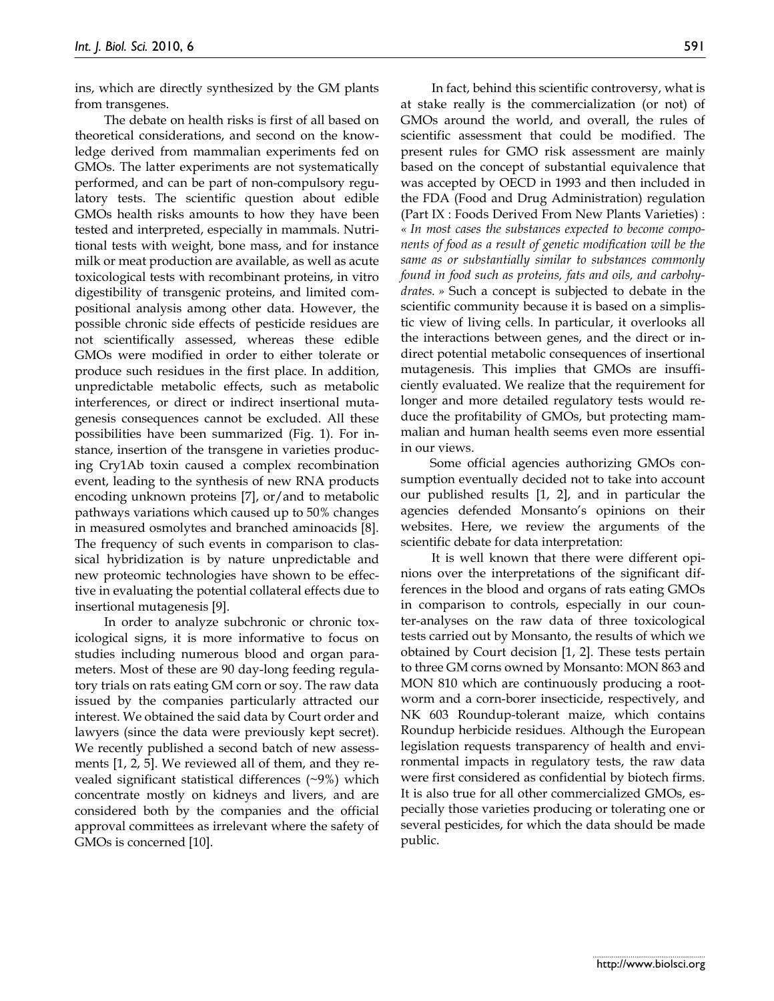ins, which are directly synthesized by the GM plants from transgenes.

The debate on health risks is first of all based on theoretical considerations, and second on the knowledge derived from mammalian experiments fed on GMOs. The latter experiments are not systematically performed, and can be part of non-compulsory regulatory tests. The scientific question about edible GMOs health risks amounts to how they have been tested and interpreted, especially in mammals. Nutritional tests with weight, bone mass, and for instance milk or meat production are available, as well as acute toxicological tests with recombinant proteins, in vitro digestibility of transgenic proteins, and limited compositional analysis among other data. However, the possible chronic side effects of pesticide residues are not scientifically assessed, whereas these edible GMOs were modified in order to either tolerate or produce such residues in the first place. In addition, unpredictable metabolic effects, such as metabolic interferences, or direct or indirect insertional mutagenesis consequences cannot be excluded. All these possibilities have been summarized (Fig. 1). For instance, insertion of the transgene in varieties producing Cry1Ab toxin caused a complex recombination event, leading to the synthesis of new RNA products encoding unknown proteins [7], or/and to metabolic pathways variations which caused up to 50% changes in measured osmolytes and branched aminoacids [8]. The frequency of such events in comparison to classical hybridization is by nature unpredictable and new proteomic technologies have shown to be effective in evaluating the potential collateral effects due to insertional mutagenesis [9].

In order to analyze subchronic or chronic toxicological signs, it is more informative to focus on studies including numerous blood and organ parameters. Most of these are 90 day-long feeding regulatory trials on rats eating GM corn or soy. The raw data issued by the companies particularly attracted our interest. We obtained the said data by Court order and lawyers (since the data were previously kept secret). We recently published a second batch of new assessments [1, 2, 5]. We reviewed all of them, and they revealed significant statistical differences (~9%) which concentrate mostly on kidneys and livers, and are considered both by the companies and the official approval committees as irrelevant where the safety of GMOs is concerned [10].

In fact, behind this scientific controversy, what is at stake really is the commercialization (or not) of GMOs around the world, and overall, the rules of scientific assessment that could be modified. The present rules for GMO risk assessment are mainly based on the concept of substantial equivalence that was accepted by OECD in 1993 and then included in the FDA (Food and Drug Administration) regulation (Part IX : Foods Derived From New Plants Varieties) : *« In most cases the substances expected to become components of food as a result of genetic modification will be the same as or substantially similar to substances commonly found in food such as proteins, fats and oils, and carbohydrates. »* Such a concept is subjected to debate in the scientific community because it is based on a simplistic view of living cells. In particular, it overlooks all the interactions between genes, and the direct or indirect potential metabolic consequences of insertional mutagenesis. This implies that GMOs are insufficiently evaluated. We realize that the requirement for longer and more detailed regulatory tests would reduce the profitability of GMOs, but protecting mammalian and human health seems even more essential in our views.

Some official agencies authorizing GMOs consumption eventually decided not to take into account our published results [1, 2], and in particular the agencies defended Monsanto's opinions on their websites. Here, we review the arguments of the scientific debate for data interpretation:

It is well known that there were different opinions over the interpretations of the significant differences in the blood and organs of rats eating GMOs in comparison to controls, especially in our counter-analyses on the raw data of three toxicological tests carried out by Monsanto, the results of which we obtained by Court decision [1, 2]. These tests pertain to three GM corns owned by Monsanto: MON 863 and MON 810 which are continuously producing a rootworm and a corn-borer insecticide, respectively, and NK 603 Roundup-tolerant maize, which contains Roundup herbicide residues. Although the European legislation requests transparency of health and environmental impacts in regulatory tests, the raw data were first considered as confidential by biotech firms. It is also true for all other commercialized GMOs, especially those varieties producing or tolerating one or several pesticides, for which the data should be made public.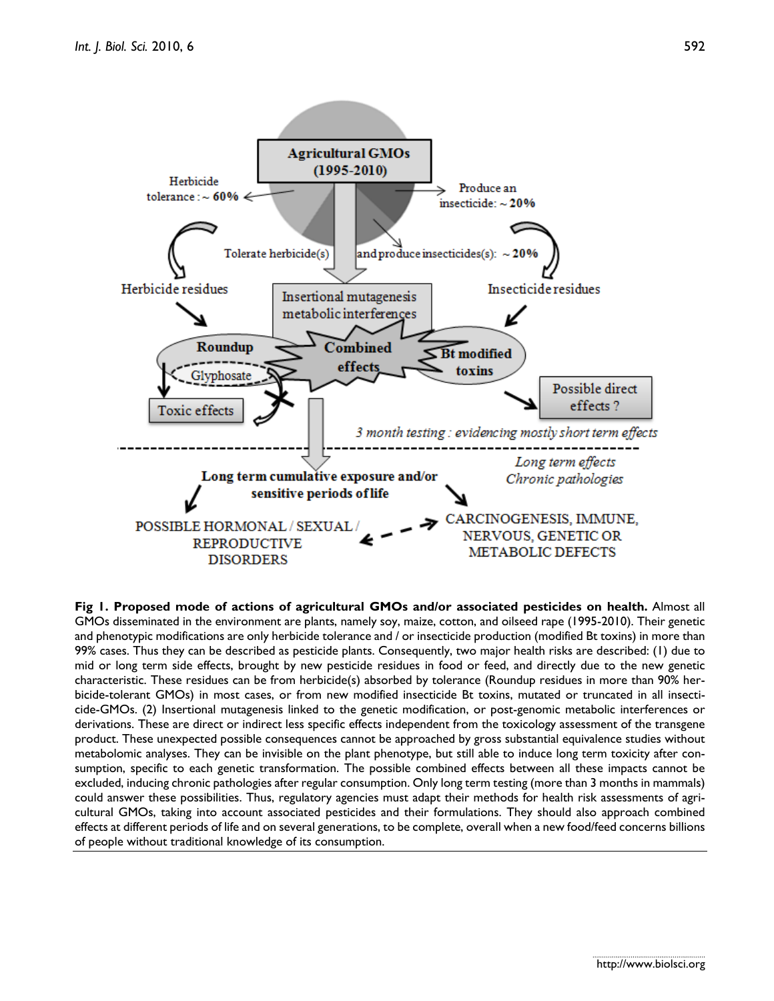

**Fig 1. Proposed mode of actions of agricultural GMOs and/or associated pesticides on health.** Almost all GMOs disseminated in the environment are plants, namely soy, maize, cotton, and oilseed rape (1995-2010). Their genetic and phenotypic modifications are only herbicide tolerance and / or insecticide production (modified Bt toxins) in more than 99% cases. Thus they can be described as pesticide plants. Consequently, two major health risks are described: (1) due to mid or long term side effects, brought by new pesticide residues in food or feed, and directly due to the new genetic characteristic. These residues can be from herbicide(s) absorbed by tolerance (Roundup residues in more than 90% herbicide-tolerant GMOs) in most cases, or from new modified insecticide Bt toxins, mutated or truncated in all insecticide-GMOs. (2) Insertional mutagenesis linked to the genetic modification, or post-genomic metabolic interferences or derivations. These are direct or indirect less specific effects independent from the toxicology assessment of the transgene product. These unexpected possible consequences cannot be approached by gross substantial equivalence studies without metabolomic analyses. They can be invisible on the plant phenotype, but still able to induce long term toxicity after consumption, specific to each genetic transformation. The possible combined effects between all these impacts cannot be excluded, inducing chronic pathologies after regular consumption. Only long term testing (more than 3 months in mammals) could answer these possibilities. Thus, regulatory agencies must adapt their methods for health risk assessments of agricultural GMOs, taking into account associated pesticides and their formulations. They should also approach combined effects at different periods of life and on several generations, to be complete, overall when a new food/feed concerns billions of people without traditional knowledge of its consumption.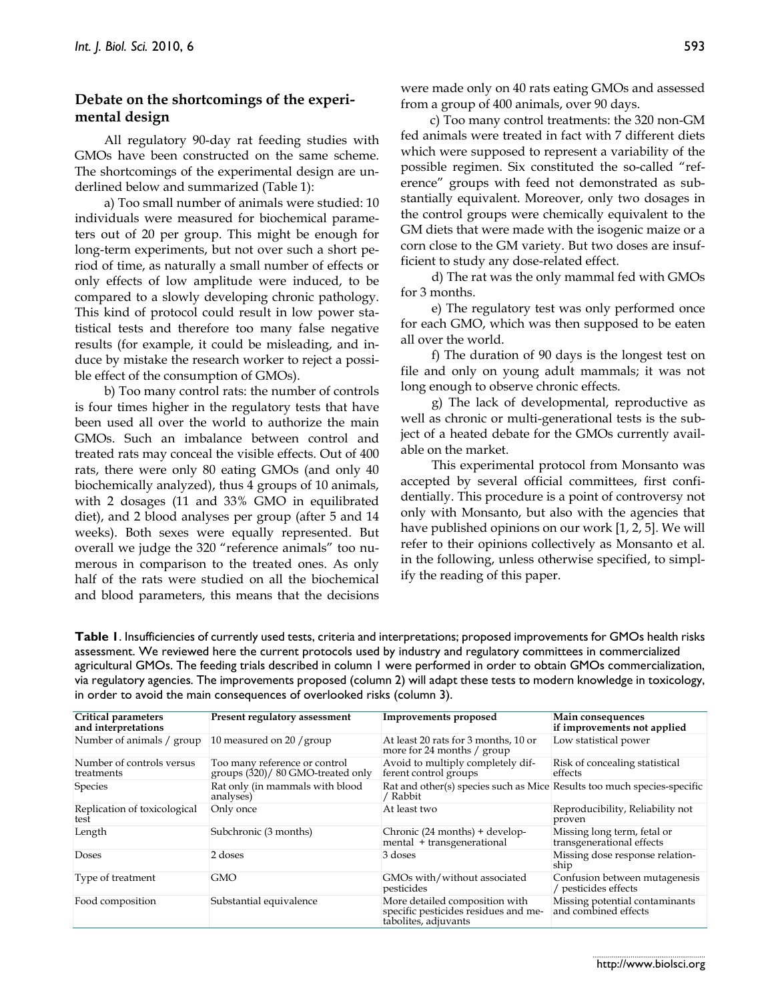# **Debate on the shortcomings of the experimental design**

All regulatory 90-day rat feeding studies with GMOs have been constructed on the same scheme. The shortcomings of the experimental design are underlined below and summarized (Table 1):

a) Too small number of animals were studied: 10 individuals were measured for biochemical parameters out of 20 per group. This might be enough for long-term experiments, but not over such a short period of time, as naturally a small number of effects or only effects of low amplitude were induced, to be compared to a slowly developing chronic pathology. This kind of protocol could result in low power statistical tests and therefore too many false negative results (for example, it could be misleading, and induce by mistake the research worker to reject a possible effect of the consumption of GMOs).

b) Too many control rats: the number of controls is four times higher in the regulatory tests that have been used all over the world to authorize the main GMOs. Such an imbalance between control and treated rats may conceal the visible effects. Out of 400 rats, there were only 80 eating GMOs (and only 40 biochemically analyzed), thus 4 groups of 10 animals, with 2 dosages (11 and 33% GMO in equilibrated diet), and 2 blood analyses per group (after 5 and 14 weeks). Both sexes were equally represented. But overall we judge the 320 "reference animals" too numerous in comparison to the treated ones. As only half of the rats were studied on all the biochemical and blood parameters, this means that the decisions

were made only on 40 rats eating GMOs and assessed from a group of 400 animals, over 90 days.

c) Too many control treatments: the 320 non-GM fed animals were treated in fact with 7 different diets which were supposed to represent a variability of the possible regimen. Six constituted the so-called "reference" groups with feed not demonstrated as substantially equivalent. Moreover, only two dosages in the control groups were chemically equivalent to the GM diets that were made with the isogenic maize or a corn close to the GM variety. But two doses are insufficient to study any dose-related effect.

d) The rat was the only mammal fed with GMOs for 3 months.

e) The regulatory test was only performed once for each GMO, which was then supposed to be eaten all over the world.

f) The duration of 90 days is the longest test on file and only on young adult mammals; it was not long enough to observe chronic effects.

g) The lack of developmental, reproductive as well as chronic or multi-generational tests is the subject of a heated debate for the GMOs currently available on the market.

This experimental protocol from Monsanto was accepted by several official committees, first confidentially. This procedure is a point of controversy not only with Monsanto, but also with the agencies that have published opinions on our work [1, 2, 5]. We will refer to their opinions collectively as Monsanto et al. in the following, unless otherwise specified, to simplify the reading of this paper.

**Table 1**. Insufficiencies of currently used tests, criteria and interpretations; proposed improvements for GMOs health risks assessment. We reviewed here the current protocols used by industry and regulatory committees in commercialized agricultural GMOs. The feeding trials described in column 1 were performed in order to obtain GMOs commercialization, via regulatory agencies. The improvements proposed (column 2) will adapt these tests to modern knowledge in toxicology, in order to avoid the main consequences of overlooked risks (column 3).

| Critical parameters<br>and interpretations | Present regulatory assessment                                      | <b>Improvements proposed</b>                                                                   | Main consequences<br>if improvements not applied         |
|--------------------------------------------|--------------------------------------------------------------------|------------------------------------------------------------------------------------------------|----------------------------------------------------------|
| Number of animals / group                  | 10 measured on 20 / group                                          | At least 20 rats for 3 months, 10 or<br>more for 24 months / group                             | Low statistical power                                    |
| Number of controls versus<br>treatments    | Too many reference or control<br>groups (320)/ 80 GMO-treated only | Avoid to multiply completely dif-<br>ferent control groups                                     | Risk of concealing statistical<br>effects                |
| <b>Species</b>                             | Rat only (in mammals with blood<br>analyses)                       | Rat and other(s) species such as Mice Results too much species-specific<br>/ Rabbit            |                                                          |
| Replication of toxicological<br>test       | Only once                                                          | At least two                                                                                   | Reproducibility, Reliability not<br>proven               |
| Length                                     | Subchronic (3 months)                                              | Chronic (24 months) + develop-<br>mental $+$ transgenerational                                 | Missing long term, fetal or<br>transgenerational effects |
| <b>Doses</b>                               | 2 doses                                                            | 3 doses                                                                                        | Missing dose response relation-<br>ship                  |
| Type of treatment                          | GMO                                                                | GMOs with/without associated<br>pesticides                                                     | Confusion between mutagenesis<br>/ pesticides effects    |
| Food composition                           | Substantial equivalence                                            | More detailed composition with<br>specific pesticides residues and me-<br>tabolites, adjuvants | Missing potential contaminants<br>and combined effects   |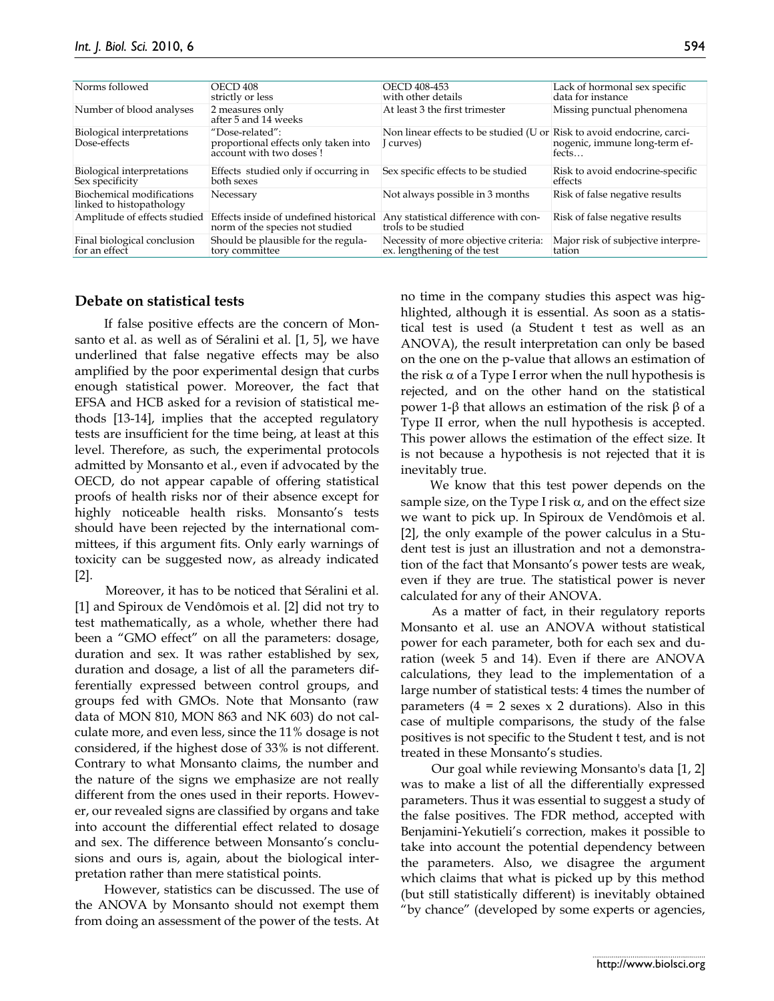| Norms followed                                        | <b>OECD 408</b><br>strictly or less                                                | OECD 408-453<br>with other details                                                  | Lack of hormonal sex specific<br>data for instance |
|-------------------------------------------------------|------------------------------------------------------------------------------------|-------------------------------------------------------------------------------------|----------------------------------------------------|
| Number of blood analyses                              | 2 measures only<br>after 5 and 14 weeks                                            | At least 3 the first trimester                                                      | Missing punctual phenomena                         |
| Biological interpretations<br>Dose-effects            | "Dose-related":<br>proportional effects only taken into<br>account with two doses! | Non linear effects to be studied (U or Risk to avoid endocrine, carci-<br>I curves) | nogenic, immune long-term ef-<br>fects             |
| Biological interpretations<br>Sex specificity         | Effects studied only if occurring in<br>both sexes                                 | Sex specific effects to be studied                                                  | Risk to avoid endocrine-specific<br>effects        |
| Biochemical modifications<br>linked to histopathology | Necessary                                                                          | Not always possible in 3 months                                                     | Risk of false negative results                     |
| Amplitude of effects studied                          | Effects inside of undefined historical<br>norm of the species not studied          | Any statistical difference with con-<br>trols to be studied                         | Risk of false negative results                     |
| Final biological conclusion<br>for an effect          | Should be plausible for the regula-<br>tory committee                              | Necessity of more objective criteria:<br>ex. lengthening of the test                | Major risk of subjective interpre-<br>tation       |

### **Debate on statistical tests**

If false positive effects are the concern of Monsanto et al. as well as of Séralini et al. [1, 5], we have underlined that false negative effects may be also amplified by the poor experimental design that curbs enough statistical power. Moreover, the fact that EFSA and HCB asked for a revision of statistical methods [13-14], implies that the accepted regulatory tests are insufficient for the time being, at least at this level. Therefore, as such, the experimental protocols admitted by Monsanto et al., even if advocated by the OECD, do not appear capable of offering statistical proofs of health risks nor of their absence except for highly noticeable health risks. Monsanto's tests should have been rejected by the international committees, if this argument fits. Only early warnings of toxicity can be suggested now, as already indicated  $|2|$ .

Moreover, it has to be noticed that Séralini et al. [1] and Spiroux de Vendômois et al. [2] did not try to test mathematically, as a whole, whether there had been a "GMO effect" on all the parameters: dosage, duration and sex. It was rather established by sex, duration and dosage, a list of all the parameters differentially expressed between control groups, and groups fed with GMOs. Note that Monsanto (raw data of MON 810, MON 863 and NK 603) do not calculate more, and even less, since the 11% dosage is not considered, if the highest dose of 33% is not different. Contrary to what Monsanto claims, the number and the nature of the signs we emphasize are not really different from the ones used in their reports. However, our revealed signs are classified by organs and take into account the differential effect related to dosage and sex. The difference between Monsanto's conclusions and ours is, again, about the biological interpretation rather than mere statistical points.

However, statistics can be discussed. The use of the ANOVA by Monsanto should not exempt them from doing an assessment of the power of the tests. At no time in the company studies this aspect was highlighted, although it is essential. As soon as a statistical test is used (a Student t test as well as an ANOVA), the result interpretation can only be based on the one on the p-value that allows an estimation of the risk  $\alpha$  of a Type I error when the null hypothesis is rejected, and on the other hand on the statistical power 1-β that allows an estimation of the risk  $β$  of a Type II error, when the null hypothesis is accepted. This power allows the estimation of the effect size. It is not because a hypothesis is not rejected that it is inevitably true.

We know that this test power depends on the sample size, on the Type I risk  $\alpha$ , and on the effect size we want to pick up. In Spiroux de Vendômois et al. [2], the only example of the power calculus in a Student test is just an illustration and not a demonstration of the fact that Monsanto's power tests are weak, even if they are true. The statistical power is never calculated for any of their ANOVA.

As a matter of fact, in their regulatory reports Monsanto et al. use an ANOVA without statistical power for each parameter, both for each sex and duration (week 5 and 14). Even if there are ANOVA calculations, they lead to the implementation of a large number of statistical tests: 4 times the number of parameters  $(4 = 2 \text{ sexes } x \text{ 2 durations})$ . Also in this case of multiple comparisons, the study of the false positives is not specific to the Student t test, and is not treated in these Monsanto's studies.

Our goal while reviewing Monsanto's data [1, 2] was to make a list of all the differentially expressed parameters. Thus it was essential to suggest a study of the false positives. The FDR method, accepted with Benjamini-Yekutieli's correction, makes it possible to take into account the potential dependency between the parameters. Also, we disagree the argument which claims that what is picked up by this method (but still statistically different) is inevitably obtained "by chance" (developed by some experts or agencies,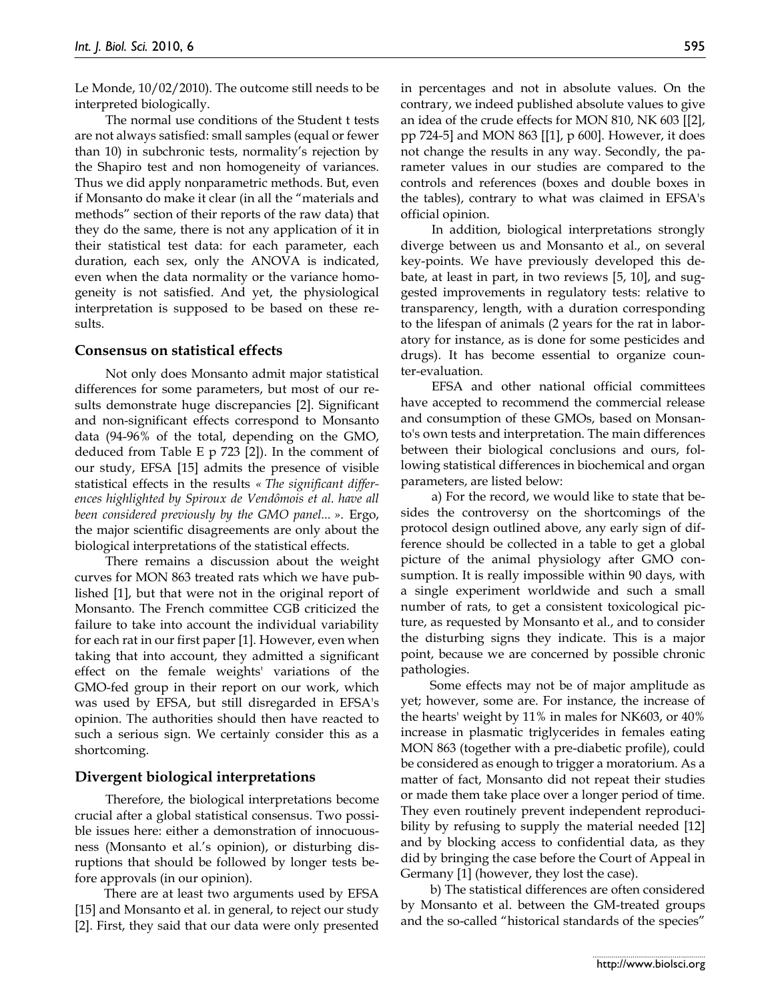Le Monde, 10/02/2010). The outcome still needs to be interpreted biologically.

The normal use conditions of the Student t tests are not always satisfied: small samples (equal or fewer than 10) in subchronic tests, normality's rejection by the Shapiro test and non homogeneity of variances. Thus we did apply nonparametric methods. But, even if Monsanto do make it clear (in all the "materials and methods" section of their reports of the raw data) that they do the same, there is not any application of it in their statistical test data: for each parameter, each duration, each sex, only the ANOVA is indicated, even when the data normality or the variance homogeneity is not satisfied. And yet, the physiological interpretation is supposed to be based on these results.

## **Consensus on statistical effects**

Not only does Monsanto admit major statistical differences for some parameters, but most of our results demonstrate huge discrepancies [2]. Significant and non-significant effects correspond to Monsanto data (94-96% of the total, depending on the GMO, deduced from Table E p 723 [2]). In the comment of our study, EFSA [15] admits the presence of visible statistical effects in the results *« The significant differences highlighted by Spiroux de Vendômois et al. have all been considered previously by the GMO panel... »*. Ergo, the major scientific disagreements are only about the biological interpretations of the statistical effects.

There remains a discussion about the weight curves for MON 863 treated rats which we have published [1], but that were not in the original report of Monsanto. The French committee CGB criticized the failure to take into account the individual variability for each rat in our first paper [1]. However, even when taking that into account, they admitted a significant effect on the female weights' variations of the GMO-fed group in their report on our work, which was used by EFSA, but still disregarded in EFSA's opinion. The authorities should then have reacted to such a serious sign. We certainly consider this as a shortcoming.

## **Divergent biological interpretations**

Therefore, the biological interpretations become crucial after a global statistical consensus. Two possible issues here: either a demonstration of innocuousness (Monsanto et al.'s opinion), or disturbing disruptions that should be followed by longer tests before approvals (in our opinion).

There are at least two arguments used by EFSA [15] and Monsanto et al. in general, to reject our study [2]. First, they said that our data were only presented

in percentages and not in absolute values. On the contrary, we indeed published absolute values to give an idea of the crude effects for MON 810, NK 603 [[2], pp 724-5] and MON 863 [[1], p 600]. However, it does not change the results in any way. Secondly, the parameter values in our studies are compared to the controls and references (boxes and double boxes in the tables), contrary to what was claimed in EFSA's official opinion.

In addition, biological interpretations strongly diverge between us and Monsanto et al., on several key-points. We have previously developed this debate, at least in part, in two reviews [5, 10], and suggested improvements in regulatory tests: relative to transparency, length, with a duration corresponding to the lifespan of animals (2 years for the rat in laboratory for instance, as is done for some pesticides and drugs). It has become essential to organize counter-evaluation.

EFSA and other national official committees have accepted to recommend the commercial release and consumption of these GMOs, based on Monsanto's own tests and interpretation. The main differences between their biological conclusions and ours, following statistical differences in biochemical and organ parameters, are listed below:

a) For the record, we would like to state that besides the controversy on the shortcomings of the protocol design outlined above, any early sign of difference should be collected in a table to get a global picture of the animal physiology after GMO consumption. It is really impossible within 90 days, with a single experiment worldwide and such a small number of rats, to get a consistent toxicological picture, as requested by Monsanto et al., and to consider the disturbing signs they indicate. This is a major point, because we are concerned by possible chronic pathologies.

Some effects may not be of major amplitude as yet; however, some are. For instance, the increase of the hearts' weight by 11% in males for NK603, or 40% increase in plasmatic triglycerides in females eating MON 863 (together with a pre-diabetic profile), could be considered as enough to trigger a moratorium. As a matter of fact, Monsanto did not repeat their studies or made them take place over a longer period of time. They even routinely prevent independent reproducibility by refusing to supply the material needed [12] and by blocking access to confidential data, as they did by bringing the case before the Court of Appeal in Germany [1] (however, they lost the case).

b) The statistical differences are often considered by Monsanto et al. between the GM-treated groups and the so-called "historical standards of the species"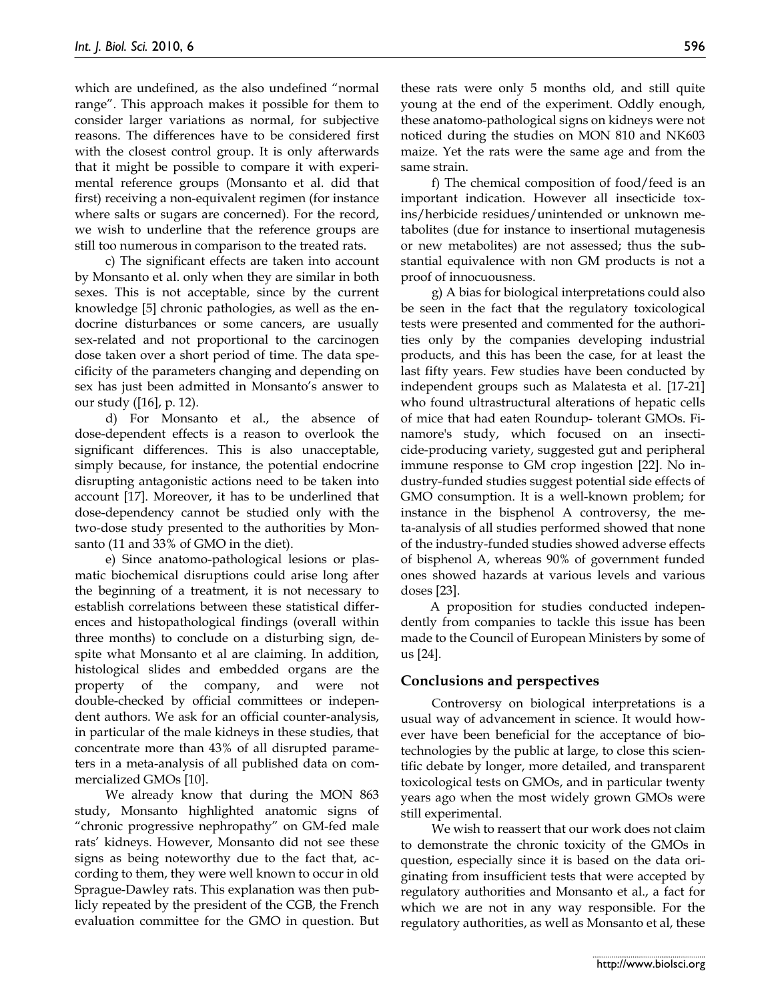which are undefined, as the also undefined "normal range". This approach makes it possible for them to consider larger variations as normal, for subjective reasons. The differences have to be considered first with the closest control group. It is only afterwards that it might be possible to compare it with experimental reference groups (Monsanto et al. did that first) receiving a non-equivalent regimen (for instance where salts or sugars are concerned). For the record, we wish to underline that the reference groups are still too numerous in comparison to the treated rats.

c) The significant effects are taken into account by Monsanto et al. only when they are similar in both sexes. This is not acceptable, since by the current knowledge [5] chronic pathologies, as well as the endocrine disturbances or some cancers, are usually sex-related and not proportional to the carcinogen dose taken over a short period of time. The data specificity of the parameters changing and depending on sex has just been admitted in Monsanto's answer to our study ([16], p. 12).

d) For Monsanto et al., the absence of dose-dependent effects is a reason to overlook the significant differences. This is also unacceptable, simply because, for instance, the potential endocrine disrupting antagonistic actions need to be taken into account [17]. Moreover, it has to be underlined that dose-dependency cannot be studied only with the two-dose study presented to the authorities by Monsanto (11 and 33% of GMO in the diet).

e) Since anatomo-pathological lesions or plasmatic biochemical disruptions could arise long after the beginning of a treatment, it is not necessary to establish correlations between these statistical differences and histopathological findings (overall within three months) to conclude on a disturbing sign, despite what Monsanto et al are claiming. In addition, histological slides and embedded organs are the property of the company, and were not double-checked by official committees or independent authors. We ask for an official counter-analysis, in particular of the male kidneys in these studies, that concentrate more than 43% of all disrupted parameters in a meta-analysis of all published data on commercialized GMOs [10].

We already know that during the MON 863 study, Monsanto highlighted anatomic signs of "chronic progressive nephropathy" on GM-fed male rats' kidneys. However, Monsanto did not see these signs as being noteworthy due to the fact that, according to them, they were well known to occur in old Sprague-Dawley rats. This explanation was then publicly repeated by the president of the CGB, the French evaluation committee for the GMO in question. But these rats were only 5 months old, and still quite young at the end of the experiment. Oddly enough, these anatomo-pathological signs on kidneys were not noticed during the studies on MON 810 and NK603 maize. Yet the rats were the same age and from the same strain.

f) The chemical composition of food/feed is an important indication. However all insecticide toxins/herbicide residues/unintended or unknown metabolites (due for instance to insertional mutagenesis or new metabolites) are not assessed; thus the substantial equivalence with non GM products is not a proof of innocuousness.

g) A bias for biological interpretations could also be seen in the fact that the regulatory toxicological tests were presented and commented for the authorities only by the companies developing industrial products, and this has been the case, for at least the last fifty years. Few studies have been conducted by independent groups such as Malatesta et al. [17-21] who found ultrastructural alterations of hepatic cells of mice that had eaten Roundup- tolerant GMOs. Finamore's study, which focused on an insecticide-producing variety, suggested gut and peripheral immune response to GM crop ingestion [22]. No industry-funded studies suggest potential side effects of GMO consumption. It is a well-known problem; for instance in the bisphenol A controversy, the meta-analysis of all studies performed showed that none of the industry-funded studies showed adverse effects of bisphenol A, whereas 90% of government funded ones showed hazards at various levels and various doses [23].

A proposition for studies conducted independently from companies to tackle this issue has been made to the Council of European Ministers by some of us [24].

#### **Conclusions and perspectives**

Controversy on biological interpretations is a usual way of advancement in science. It would however have been beneficial for the acceptance of biotechnologies by the public at large, to close this scientific debate by longer, more detailed, and transparent toxicological tests on GMOs, and in particular twenty years ago when the most widely grown GMOs were still experimental.

We wish to reassert that our work does not claim to demonstrate the chronic toxicity of the GMOs in question, especially since it is based on the data originating from insufficient tests that were accepted by regulatory authorities and Monsanto et al., a fact for which we are not in any way responsible. For the regulatory authorities, as well as Monsanto et al, these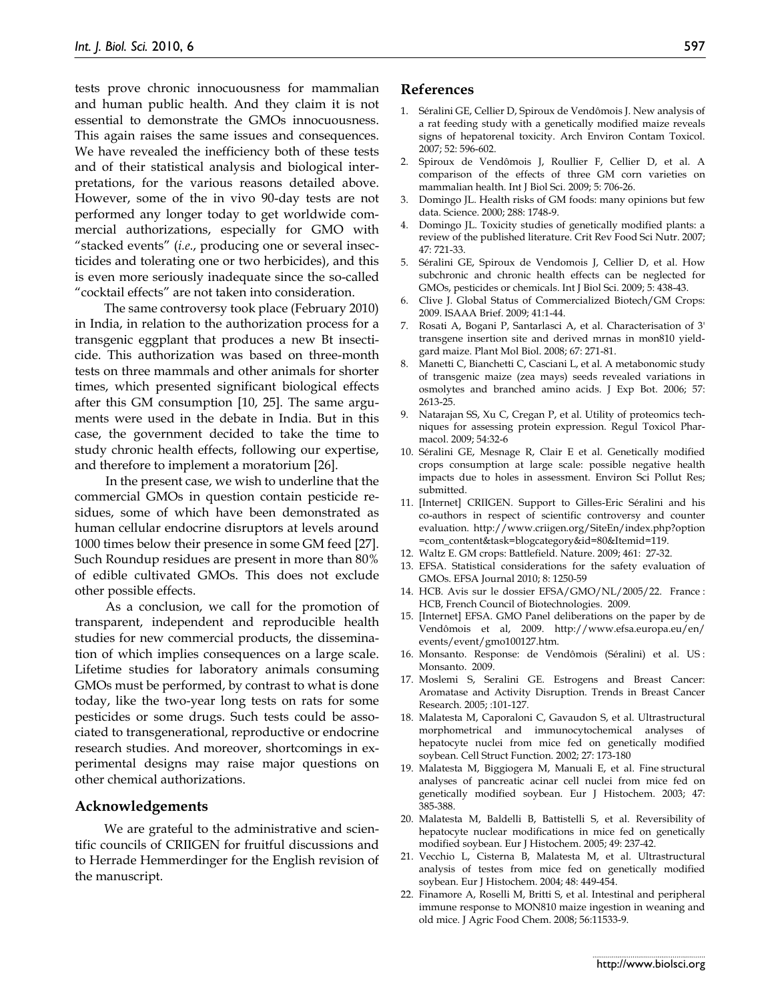tests prove chronic innocuousness for mammalian and human public health. And they claim it is not essential to demonstrate the GMOs innocuousness. This again raises the same issues and consequences. We have revealed the inefficiency both of these tests and of their statistical analysis and biological interpretations, for the various reasons detailed above. However, some of the in vivo 90-day tests are not performed any longer today to get worldwide commercial authorizations, especially for GMO with "stacked events" (*i.e*., producing one or several insecticides and tolerating one or two herbicides), and this is even more seriously inadequate since the so-called "cocktail effects" are not taken into consideration.

The same controversy took place (February 2010) in India, in relation to the authorization process for a transgenic eggplant that produces a new Bt insecticide. This authorization was based on three-month tests on three mammals and other animals for shorter times, which presented significant biological effects after this GM consumption [10, 25]. The same arguments were used in the debate in India. But in this case, the government decided to take the time to study chronic health effects, following our expertise, and therefore to implement a moratorium [26].

In the present case, we wish to underline that the commercial GMOs in question contain pesticide residues, some of which have been demonstrated as human cellular endocrine disruptors at levels around 1000 times below their presence in some GM feed [27]. Such Roundup residues are present in more than 80% of edible cultivated GMOs. This does not exclude other possible effects.

As a conclusion, we call for the promotion of transparent, independent and reproducible health studies for new commercial products, the dissemination of which implies consequences on a large scale. Lifetime studies for laboratory animals consuming GMOs must be performed, by contrast to what is done today, like the two-year long tests on rats for some pesticides or some drugs. Such tests could be associated to transgenerational, reproductive or endocrine research studies. And moreover, shortcomings in experimental designs may raise major questions on other chemical authorizations.

#### **Acknowledgements**

We are grateful to the administrative and scientific councils of CRIIGEN for fruitful discussions and to Herrade Hemmerdinger for the English revision of the manuscript.

## **References**

- 1. Séralini GE, Cellier D, Spiroux de Vendômois J. New analysis of a rat feeding study with a genetically modified maize reveals signs of hepatorenal toxicity. Arch Environ Contam Toxicol. 2007; 52: 596-602.
- 2. Spiroux de Vendômois J, Roullier F, Cellier D, et al. A comparison of the effects of three GM corn varieties on mammalian health. Int J Biol Sci. 2009; 5: 706-26.
- 3. Domingo JL. Health risks of GM foods: many opinions but few data. Science. 2000; 288: 1748-9.
- 4. Domingo JL. Toxicity studies of genetically modified plants: a review of the published literature. Crit Rev Food Sci Nutr. 2007; 47: 721-33.
- 5. Séralini GE, Spiroux de Vendomois J, Cellier D, et al. How subchronic and chronic health effects can be neglected for GMOs, pesticides or chemicals. Int J Biol Sci. 2009; 5: 438-43.
- 6. Clive J. Global Status of Commercialized Biotech/GM Crops: 2009. ISAAA Brief. 2009; 41:1-44.
- 7. Rosati A, Bogani P, Santarlasci A, et al. Characterisation of 3' transgene insertion site and derived mrnas in mon810 yieldgard maize. Plant Mol Biol. 2008; 67: 271-81.
- 8. Manetti C, Bianchetti C, Casciani L, et al. A metabonomic study of transgenic maize (zea mays) seeds revealed variations in osmolytes and branched amino acids. J Exp Bot. 2006; 57: 2613-25.
- 9. Natarajan SS, Xu C, Cregan P, et al. Utility of proteomics techniques for assessing protein expression. Regul Toxicol Pharmacol. 2009; 54:32-6
- 10. Séralini GE, Mesnage R, Clair E et al. Genetically modified crops consumption at large scale: possible negative health impacts due to holes in assessment. Environ Sci Pollut Res; submitted.
- 11. [Internet] CRIIGEN. Support to Gilles-Eric Séralini and his co-authors in respect of scientific controversy and counter evaluation. http://www.criigen.org/SiteEn/index.php?option =com\_content&task=blogcategory&id=80&Itemid=119.
- 12. Waltz E. GM crops: Battlefield. Nature. 2009; 461: 27-32.
- 13. EFSA. Statistical considerations for the safety evaluation of GMOs. EFSA Journal 2010; 8: 1250-59
- 14. HCB. Avis sur le dossier EFSA/GMO/NL/2005/22. France : HCB, French Council of Biotechnologies. 2009.
- 15. [Internet] EFSA. GMO Panel deliberations on the paper by de Vendômois et al, 2009. http://www.efsa.europa.eu/en/ events/event/gmo100127.htm.
- 16. Monsanto. Response: de Vendômois (Séralini) et al. US : Monsanto. 2009.
- 17. Moslemi S, Seralini GE. Estrogens and Breast Cancer: Aromatase and Activity Disruption. Trends in Breast Cancer Research. 2005; :101-127.
- 18. Malatesta M, Caporaloni C, Gavaudon S, et al. Ultrastructural morphometrical and immunocytochemical analyses of hepatocyte nuclei from mice fed on genetically modified soybean. Cell Struct Function. 2002; 27: 173-180
- 19. Malatesta M, Biggiogera M, Manuali E, et al. Fine structural analyses of pancreatic acinar cell nuclei from mice fed on genetically modified soybean. Eur J Histochem. 2003; 47: 385-388.
- 20. Malatesta M, Baldelli B, Battistelli S, et al. Reversibility of hepatocyte nuclear modifications in mice fed on genetically modified soybean. Eur J Histochem. 2005; 49: 237-42.
- 21. Vecchio L, Cisterna B, Malatesta M, et al. Ultrastructural analysis of testes from mice fed on genetically modified soybean. Eur J Histochem. 2004; 48: 449-454.
- 22. Finamore A, Roselli M, Britti S, et al. Intestinal and peripheral immune response to MON810 maize ingestion in weaning and old mice. J Agric Food Chem. 2008; 56:11533-9.